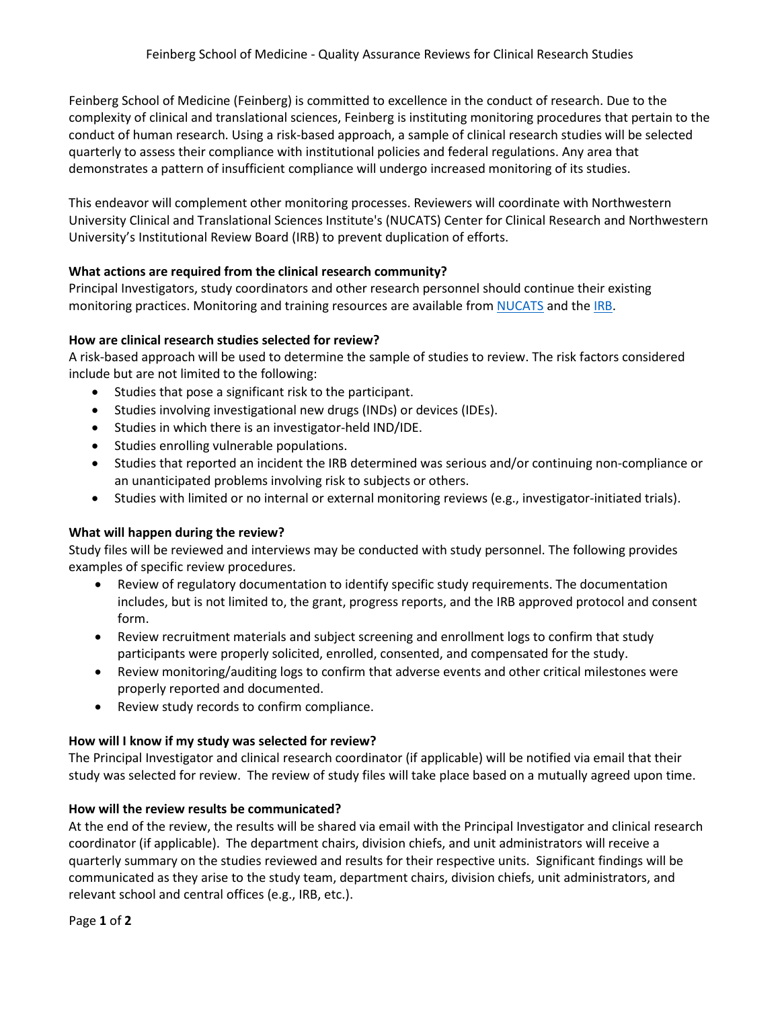Feinberg School of Medicine (Feinberg) is committed to excellence in the conduct of research. Due to the complexity of clinical and translational sciences, Feinberg is instituting monitoring procedures that pertain to the conduct of human research. Using a risk-based approach, a sample of clinical research studies will be selected quarterly to assess their compliance with institutional policies and federal regulations. Any area that demonstrates a pattern of insufficient compliance will undergo increased monitoring of its studies.

This endeavor will complement other monitoring processes. Reviewers will coordinate with Northwestern University Clinical and Translational Sciences Institute's (NUCATS) Center for Clinical Research and Northwestern University's Institutional Review Board (IRB) to prevent duplication of efforts.

# **What actions are required from the clinical research community?**

Principal Investigators, study coordinators and other research personnel should continue their existing monitoring practices. Monitoring and training resources are available from [NUCATS](https://www.nucats.northwestern.edu/education-and-career-development/good-clinical-practice-training/index.html) and the [IRB.](https://irb.northwestern.edu/templates-forms/templates-forms-sops)

# **How are clinical research studies selected for review?**

A risk-based approach will be used to determine the sample of studies to review. The risk factors considered include but are not limited to the following:

- Studies that pose a significant risk to the participant.
- Studies involving investigational new drugs (INDs) or devices (IDEs).
- Studies in which there is an investigator-held IND/IDE.
- Studies enrolling vulnerable populations.
- Studies that reported an incident the IRB determined was serious and/or continuing non-compliance or an unanticipated problems involving risk to subjects or others.
- Studies with limited or no internal or external monitoring reviews (e.g., investigator-initiated trials).

# **What will happen during the review?**

Study files will be reviewed and interviews may be conducted with study personnel. The following provides examples of specific review procedures.

- Review of regulatory documentation to identify specific study requirements. The documentation includes, but is not limited to, the grant, progress reports, and the IRB approved protocol and consent form.
- Review recruitment materials and subject screening and enrollment logs to confirm that study participants were properly solicited, enrolled, consented, and compensated for the study.
- Review monitoring/auditing logs to confirm that adverse events and other critical milestones were properly reported and documented.
- Review study records to confirm compliance.

#### **How will I know if my study was selected for review?**

The Principal Investigator and clinical research coordinator (if applicable) will be notified via email that their study was selected for review. The review of study files will take place based on a mutually agreed upon time.

# **How will the review results be communicated?**

At the end of the review, the results will be shared via email with the Principal Investigator and clinical research coordinator (if applicable). The department chairs, division chiefs, and unit administrators will receive a quarterly summary on the studies reviewed and results for their respective units. Significant findings will be communicated as they arise to the study team, department chairs, division chiefs, unit administrators, and relevant school and central offices (e.g., IRB, etc.).